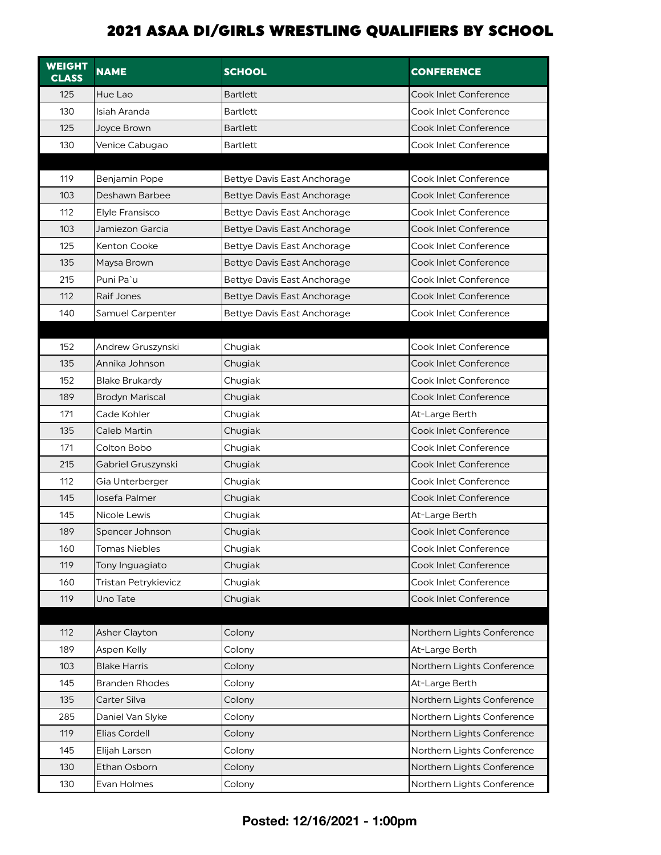| <b>WEIGHT</b><br><b>CLASS</b> | <b>NAME</b>            | <b>SCHOOL</b>                      | <b>CONFERENCE</b>            |
|-------------------------------|------------------------|------------------------------------|------------------------------|
| 125                           | Hue Lao                | <b>Bartlett</b>                    | <b>Cook Inlet Conference</b> |
| 130                           | Isiah Aranda           | <b>Bartlett</b>                    | Cook Inlet Conference        |
| 125                           | Joyce Brown            | <b>Bartlett</b>                    | <b>Cook Inlet Conference</b> |
| 130                           | Venice Cabugao         | <b>Bartlett</b>                    | Cook Inlet Conference        |
|                               |                        |                                    |                              |
| 119                           | Benjamin Pope          | <b>Bettye Davis East Anchorage</b> | Cook Inlet Conference        |
| 103                           | Deshawn Barbee         | <b>Bettye Davis East Anchorage</b> | Cook Inlet Conference        |
| 112                           | Elyle Fransisco        | Bettye Davis East Anchorage        | Cook Inlet Conference        |
| 103                           | Jamiezon Garcia        | Bettye Davis East Anchorage        | Cook Inlet Conference        |
| 125                           | Kenton Cooke           | Bettye Davis East Anchorage        | Cook Inlet Conference        |
| 135                           | Maysa Brown            | Bettye Davis East Anchorage        | Cook Inlet Conference        |
| 215                           | Puni Pa'u              | Bettye Davis East Anchorage        | Cook Inlet Conference        |
| 112                           | Raif Jones             | <b>Bettye Davis East Anchorage</b> | Cook Inlet Conference        |
| 140                           | Samuel Carpenter       | Bettye Davis East Anchorage        | Cook Inlet Conference        |
|                               |                        |                                    |                              |
| 152                           | Andrew Gruszynski      | Chugiak                            | Cook Inlet Conference        |
| 135                           | Annika Johnson         | Chugiak                            | Cook Inlet Conference        |
| 152                           | <b>Blake Brukardy</b>  | Chugiak                            | Cook Inlet Conference        |
| 189                           | <b>Brodyn Mariscal</b> | Chugiak                            | Cook Inlet Conference        |
| 171                           | Cade Kohler            | Chugiak                            | At-Large Berth               |
| 135                           | Caleb Martin           | Chugiak                            | Cook Inlet Conference        |
| 171                           | Colton Bobo            | Chugiak                            | Cook Inlet Conference        |
| 215                           | Gabriel Gruszynski     | Chugiak                            | Cook Inlet Conference        |
| 112                           | Gia Unterberger        | Chugiak                            | Cook Inlet Conference        |
| 145                           | losefa Palmer          | Chugiak                            | Cook Inlet Conference        |
| 145                           | Nicole Lewis           | Chugiak                            | At-Large Berth               |
| 189                           | Spencer Johnson        | Chugiak                            | Cook Inlet Conference        |
| 160                           | <b>Tomas Niebles</b>   | Chugiak                            | Cook Inlet Conference        |
| 119                           | Tony Inguagiato        | Chugiak                            | Cook Inlet Conference        |
| 160                           | Tristan Petrykievicz   | Chugiak                            | Cook Inlet Conference        |
| 119                           | Uno Tate               | Chugiak                            | Cook Inlet Conference        |
|                               |                        |                                    |                              |
| 112                           | Asher Clayton          | Colony                             | Northern Lights Conference   |
| 189                           | Aspen Kelly            | Colony                             | At-Large Berth               |
| 103                           | <b>Blake Harris</b>    | Colony                             | Northern Lights Conference   |
| 145                           | <b>Branden Rhodes</b>  | Colony                             | At-Large Berth               |
| 135                           | Carter Silva           | Colony                             | Northern Lights Conference   |
| 285                           | Daniel Van Slyke       | Colony                             | Northern Lights Conference   |
| 119                           | <b>Elias Cordell</b>   | Colony                             | Northern Lights Conference   |
| 145                           | Elijah Larsen          | Colony                             | Northern Lights Conference   |
| 130                           | Ethan Osborn           | Colony                             | Northern Lights Conference   |
| 130                           | Evan Holmes            | Colony                             | Northern Lights Conference   |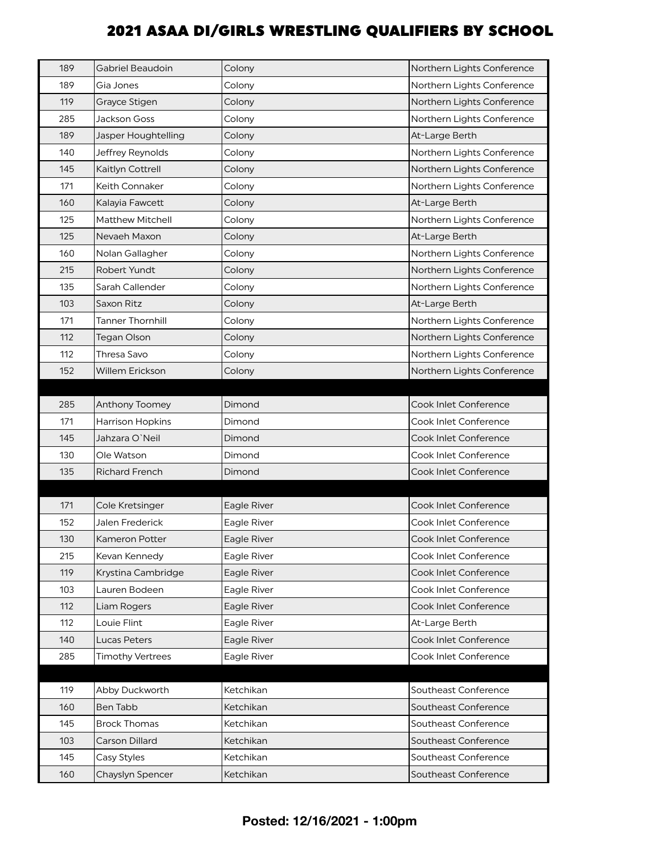| 189 | <b>Gabriel Beaudoin</b> | Colony      | Northern Lights Conference |
|-----|-------------------------|-------------|----------------------------|
| 189 | Gia Jones               | Colony      | Northern Lights Conference |
| 119 | Grayce Stigen           | Colony      | Northern Lights Conference |
| 285 | <b>Jackson Goss</b>     | Colony      | Northern Lights Conference |
| 189 | Jasper Houghtelling     | Colony      | At-Large Berth             |
| 140 | Jeffrey Reynolds        | Colony      | Northern Lights Conference |
| 145 | Kaitlyn Cottrell        | Colony      | Northern Lights Conference |
| 171 | Keith Connaker          | Colony      | Northern Lights Conference |
| 160 | Kalayia Fawcett         | Colony      | At-Large Berth             |
| 125 | <b>Matthew Mitchell</b> | Colony      | Northern Lights Conference |
| 125 | Nevaeh Maxon            | Colony      | At-Large Berth             |
| 160 | Nolan Gallagher         | Colony      | Northern Lights Conference |
| 215 | <b>Robert Yundt</b>     | Colony      | Northern Lights Conference |
| 135 | Sarah Callender         | Colony      | Northern Lights Conference |
| 103 | Saxon Ritz              | Colony      | At-Large Berth             |
| 171 | <b>Tanner Thornhill</b> | Colony      | Northern Lights Conference |
| 112 | <b>Tegan Olson</b>      | Colony      | Northern Lights Conference |
| 112 | Thresa Savo             | Colony      | Northern Lights Conference |
| 152 | <b>Willem Erickson</b>  | Colony      | Northern Lights Conference |
|     |                         |             |                            |
| 285 | Anthony Toomey          | Dimond      | Cook Inlet Conference      |
| 171 | <b>Harrison Hopkins</b> | Dimond      | Cook Inlet Conference      |
|     |                         |             |                            |
| 145 | Jahzara O'Neil          | Dimond      | Cook Inlet Conference      |
| 130 | Ole Watson              | Dimond      | Cook Inlet Conference      |
| 135 | <b>Richard French</b>   | Dimond      | Cook Inlet Conference      |
|     |                         |             |                            |
| 171 | Cole Kretsinger         | Eagle River | Cook Inlet Conference      |
| 152 | Jalen Frederick         | Eagle River | Cook Inlet Conference      |
| 130 | Kameron Potter          | Eagle River | Cook Inlet Conference      |
| 215 | Kevan Kennedy           | Eagle River | Cook Inlet Conference      |
| 119 | Krystina Cambridge      | Eagle River | Cook Inlet Conference      |
| 103 | Lauren Bodeen           | Eagle River | Cook Inlet Conference      |
| 112 | Liam Rogers             | Eagle River | Cook Inlet Conference      |
| 112 | Louie Flint             | Eagle River | At-Large Berth             |
| 140 | Lucas Peters            | Eagle River | Cook Inlet Conference      |
| 285 | <b>Timothy Vertrees</b> | Eagle River | Cook Inlet Conference      |
|     |                         |             |                            |
| 119 | Abby Duckworth          | Ketchikan   | Southeast Conference       |
| 160 | <b>Ben Tabb</b>         | Ketchikan   | Southeast Conference       |
| 145 | <b>Brock Thomas</b>     | Ketchikan   | Southeast Conference       |
| 103 | Carson Dillard          | Ketchikan   | Southeast Conference       |
| 145 | Casy Styles             | Ketchikan   | Southeast Conference       |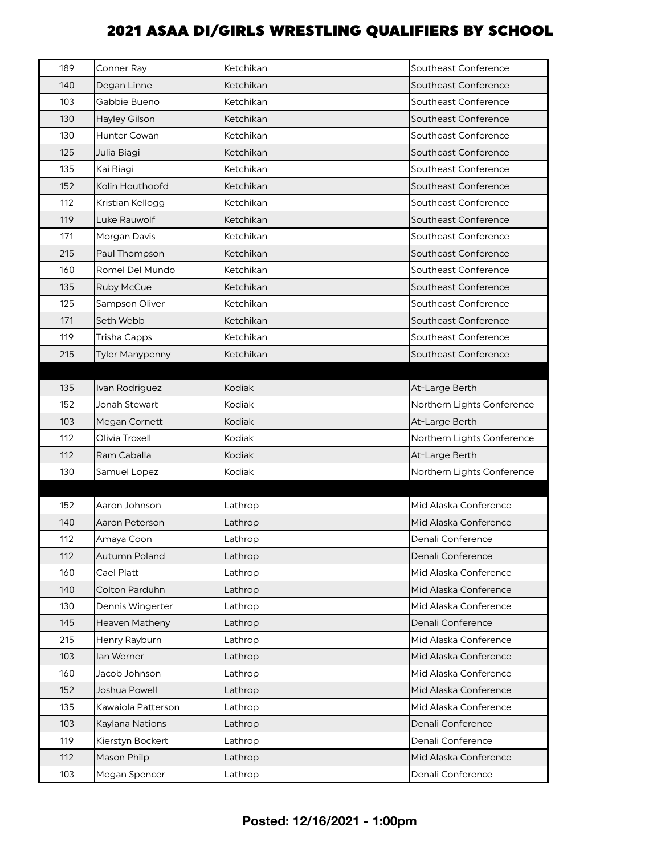| 189 | Conner Ray             | Ketchikan     | Southeast Conference       |
|-----|------------------------|---------------|----------------------------|
| 140 | Degan Linne            | Ketchikan     | Southeast Conference       |
| 103 | Gabbie Bueno           | Ketchikan     | Southeast Conference       |
| 130 | <b>Hayley Gilson</b>   | Ketchikan     | Southeast Conference       |
| 130 | <b>Hunter Cowan</b>    | Ketchikan     | Southeast Conference       |
| 125 | Julia Biagi            | Ketchikan     | Southeast Conference       |
| 135 | Kai Biagi              | Ketchikan     | Southeast Conference       |
| 152 | Kolin Houthoofd        | Ketchikan     | Southeast Conference       |
| 112 | Kristian Kellogg       | Ketchikan     | Southeast Conference       |
| 119 | Luke Rauwolf           | Ketchikan     | Southeast Conference       |
| 171 | Morgan Davis           | Ketchikan     | Southeast Conference       |
| 215 | Paul Thompson          | Ketchikan     | Southeast Conference       |
| 160 | Romel Del Mundo        | Ketchikan     | Southeast Conference       |
| 135 | Ruby McCue             | Ketchikan     | Southeast Conference       |
| 125 | Sampson Oliver         | Ketchikan     | Southeast Conference       |
| 171 | Seth Webb              | Ketchikan     | Southeast Conference       |
| 119 | Trisha Capps           | Ketchikan     | Southeast Conference       |
| 215 | <b>Tyler Manypenny</b> | Ketchikan     | Southeast Conference       |
|     |                        |               |                            |
| 135 | Ivan Rodriguez         | Kodiak        | At-Large Berth             |
| 152 | Jonah Stewart          | <b>Kodiak</b> | Northern Lights Conference |
| 103 | Megan Cornett          | Kodiak        | At-Large Berth             |
| 112 | Olivia Troxell         | Kodiak        | Northern Lights Conference |
| 112 | Ram Caballa            | Kodiak        | At-Large Berth             |
| 130 | Samuel Lopez           | Kodiak        | Northern Lights Conference |
|     |                        |               |                            |
| 152 | Aaron Johnson          | Lathrop       | Mid Alaska Conference      |
| 140 | Aaron Peterson         | Lathrop       | Mid Alaska Conference      |
| 112 | Amaya Coon             | Lathrop       | Denali Conference          |
| 112 | Autumn Poland          | Lathrop       | Denali Conference          |
| 160 | Cael Platt             | Lathrop       | Mid Alaska Conference      |
| 140 | Colton Parduhn         | Lathrop       | Mid Alaska Conference      |
| 130 | Dennis Wingerter       | Lathrop       | Mid Alaska Conference      |
| 145 | Heaven Matheny         | Lathrop       | Denali Conference          |
| 215 | Henry Rayburn          | Lathrop       | Mid Alaska Conference      |
| 103 | lan Werner             | Lathrop       | Mid Alaska Conference      |
| 160 | Jacob Johnson          | Lathrop       | Mid Alaska Conference      |
| 152 | Joshua Powell          | Lathrop       | Mid Alaska Conference      |
| 135 | Kawaiola Patterson     | Lathrop       | Mid Alaska Conference      |
| 103 | Kaylana Nations        | Lathrop       | Denali Conference          |
| 119 | Kierstyn Bockert       | Lathrop       | Denali Conference          |
| 112 | Mason Philp            | Lathrop       | Mid Alaska Conference      |
| 103 | Megan Spencer          | Lathrop       | Denali Conference          |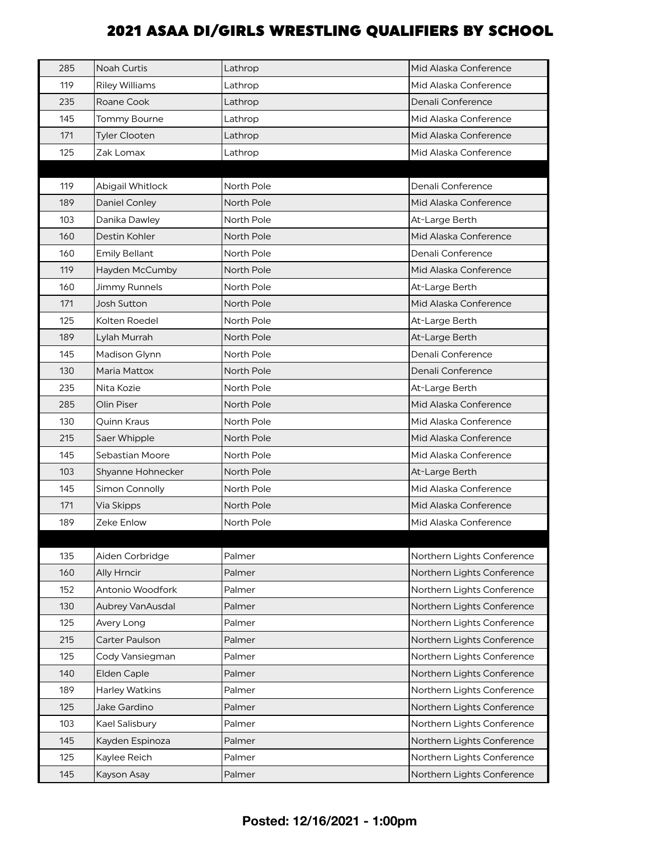| 285 | <b>Noah Curtis</b>    | Lathrop           | Mid Alaska Conference      |
|-----|-----------------------|-------------------|----------------------------|
| 119 | <b>Riley Williams</b> | Lathrop           | Mid Alaska Conference      |
| 235 | Roane Cook            | Lathrop           | Denali Conference          |
| 145 | Tommy Bourne          | Lathrop           | Mid Alaska Conference      |
| 171 | <b>Tyler Clooten</b>  | Lathrop           | Mid Alaska Conference      |
| 125 | Zak Lomax             | Lathrop           | Mid Alaska Conference      |
|     |                       |                   |                            |
| 119 | Abigail Whitlock      | North Pole        | Denali Conference          |
| 189 | <b>Daniel Conley</b>  | North Pole        | Mid Alaska Conference      |
| 103 | Danika Dawley         | North Pole        | At-Large Berth             |
| 160 | Destin Kohler         | North Pole        | Mid Alaska Conference      |
| 160 | <b>Emily Bellant</b>  | <b>North Pole</b> | Denali Conference          |
| 119 | <b>Hayden McCumby</b> | North Pole        | Mid Alaska Conference      |
| 160 | <b>Jimmy Runnels</b>  | North Pole        | At-Large Berth             |
| 171 | <b>Josh Sutton</b>    | <b>North Pole</b> | Mid Alaska Conference      |
| 125 | Kolten Roedel         | North Pole        | At-Large Berth             |
| 189 | Lylah Murrah          | <b>North Pole</b> | At-Large Berth             |
| 145 | <b>Madison Glynn</b>  | North Pole        | Denali Conference          |
| 130 | Maria Mattox          | <b>North Pole</b> | Denali Conference          |
| 235 | Nita Kozie            | North Pole        | At-Large Berth             |
| 285 | Olin Piser            | North Pole        | Mid Alaska Conference      |
| 130 | Quinn Kraus           | North Pole        | Mid Alaska Conference      |
| 215 | Saer Whipple          | North Pole        | Mid Alaska Conference      |
| 145 | Sebastian Moore       | North Pole        | Mid Alaska Conference      |
| 103 | Shyanne Hohnecker     | North Pole        | At-Large Berth             |
| 145 | Simon Connolly        | North Pole        | Mid Alaska Conference      |
| 171 | Via Skipps            | North Pole        | Mid Alaska Conference      |
| 189 | Zeke Enlow            | North Pole        | Mid Alaska Conference      |
|     |                       |                   |                            |
| 135 | Aiden Corbridge       | Palmer            | Northern Lights Conference |
| 160 | Ally Hrncir           | Palmer            | Northern Lights Conference |
| 152 | Antonio Woodfork      | Palmer            | Northern Lights Conference |
| 130 | Aubrey VanAusdal      | Palmer            | Northern Lights Conference |
| 125 | Avery Long            | Palmer            | Northern Lights Conference |
| 215 | Carter Paulson        | Palmer            | Northern Lights Conference |
| 125 | Cody Vansiegman       | Palmer            | Northern Lights Conference |
| 140 | <b>Elden Caple</b>    | Palmer            | Northern Lights Conference |
| 189 | <b>Harley Watkins</b> | Palmer            | Northern Lights Conference |
| 125 | Jake Gardino          | Palmer            | Northern Lights Conference |
| 103 | Kael Salisbury        | Palmer            | Northern Lights Conference |
| 145 | Kayden Espinoza       | Palmer            | Northern Lights Conference |
| 125 | Kaylee Reich          | Palmer            | Northern Lights Conference |
| 145 | Kayson Asay           | Palmer            | Northern Lights Conference |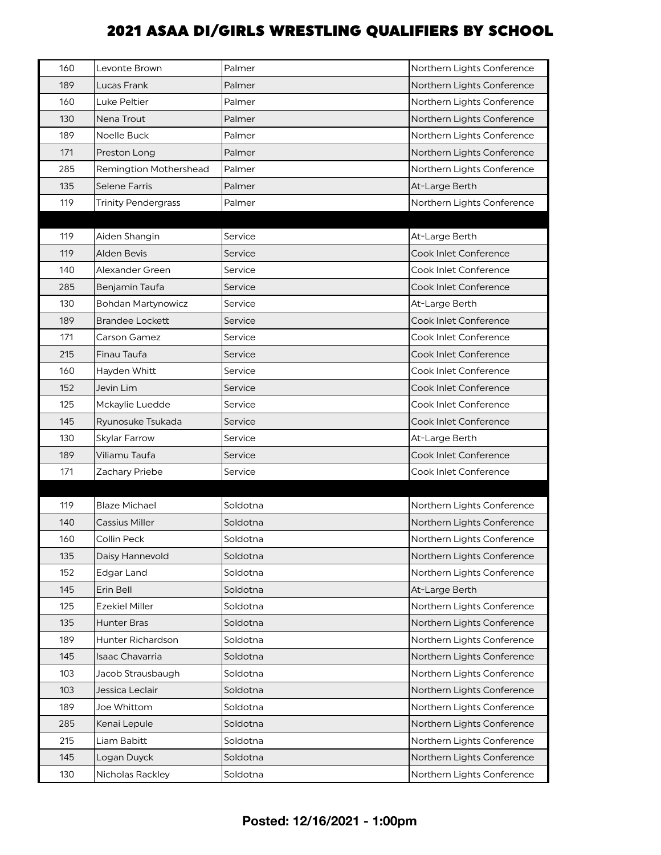| 160 | Levonte Brown                 | Palmer   | Northern Lights Conference |
|-----|-------------------------------|----------|----------------------------|
| 189 | Lucas Frank                   | Palmer   | Northern Lights Conference |
| 160 | Luke Peltier                  | Palmer   | Northern Lights Conference |
| 130 | Nena Trout                    | Palmer   | Northern Lights Conference |
| 189 | Noelle Buck                   | Palmer   | Northern Lights Conference |
| 171 | Preston Long                  | Palmer   | Northern Lights Conference |
| 285 | <b>Remingtion Mothershead</b> | Palmer   | Northern Lights Conference |
| 135 | <b>Selene Farris</b>          | Palmer   | At-Large Berth             |
| 119 | <b>Trinity Pendergrass</b>    | Palmer   | Northern Lights Conference |
|     |                               |          |                            |
| 119 | Aiden Shangin                 | Service  | At-Large Berth             |
| 119 | <b>Alden Bevis</b>            | Service  | Cook Inlet Conference      |
| 140 | Alexander Green               | Service  | Cook Inlet Conference      |
| 285 | Benjamin Taufa                | Service  | Cook Inlet Conference      |
| 130 | Bohdan Martynowicz            | Service  | At-Large Berth             |
| 189 | <b>Brandee Lockett</b>        | Service  | Cook Inlet Conference      |
| 171 | Carson Gamez                  | Service  | Cook Inlet Conference      |
| 215 | Finau Taufa                   | Service  | Cook Inlet Conference      |
| 160 | Hayden Whitt                  | Service  | Cook Inlet Conference      |
| 152 | Jevin Lim                     | Service  | Cook Inlet Conference      |
| 125 | Mckaylie Luedde               | Service  | Cook Inlet Conference      |
| 145 | Ryunosuke Tsukada             | Service  | Cook Inlet Conference      |
| 130 | Skylar Farrow                 | Service  | At-Large Berth             |
| 189 | Viliamu Taufa                 | Service  | Cook Inlet Conference      |
| 171 | Zachary Priebe                | Service  | Cook Inlet Conference      |
|     |                               |          |                            |
| 119 | <b>Blaze Michael</b>          | Soldotna | Northern Lights Conference |
| 140 | Cassius Miller                | Soldotna | Northern Lights Conference |
| 160 | Collin Peck                   | Soldotna | Northern Lights Conference |
| 135 | Daisy Hannevold               | Soldotna | Northern Lights Conference |
| 152 | <b>Edgar Land</b>             | Soldotna | Northern Lights Conference |
| 145 | Erin Bell                     | Soldotna | At-Large Berth             |
| 125 | <b>Ezekiel Miller</b>         | Soldotna | Northern Lights Conference |
| 135 | <b>Hunter Bras</b>            | Soldotna | Northern Lights Conference |
| 189 | Hunter Richardson             | Soldotna | Northern Lights Conference |
| 145 | <b>Isaac Chavarria</b>        | Soldotna | Northern Lights Conference |
| 103 | Jacob Strausbaugh             | Soldotna | Northern Lights Conference |
| 103 | Jessica Leclair               | Soldotna | Northern Lights Conference |
| 189 | Joe Whittom                   | Soldotna | Northern Lights Conference |
| 285 | Kenai Lepule                  | Soldotna | Northern Lights Conference |
| 215 | Liam Babitt                   | Soldotna | Northern Lights Conference |
| 145 | Logan Duyck                   | Soldotna | Northern Lights Conference |
| 130 | Nicholas Rackley              | Soldotna | Northern Lights Conference |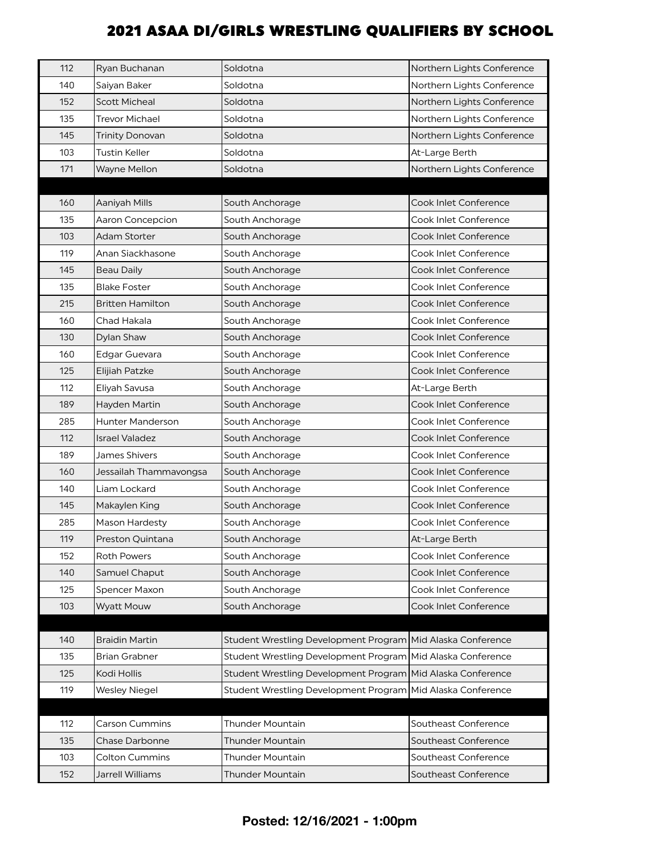| 112 | Ryan Buchanan           | Soldotna                                                    | Northern Lights Conference |
|-----|-------------------------|-------------------------------------------------------------|----------------------------|
| 140 | Saiyan Baker            | Soldotna                                                    | Northern Lights Conference |
| 152 | <b>Scott Micheal</b>    | Soldotna                                                    | Northern Lights Conference |
| 135 | <b>Trevor Michael</b>   | Soldotna                                                    | Northern Lights Conference |
| 145 | <b>Trinity Donovan</b>  | Soldotna                                                    | Northern Lights Conference |
| 103 | <b>Tustin Keller</b>    | Soldotna                                                    | At-Large Berth             |
| 171 | Wayne Mellon            | Soldotna                                                    | Northern Lights Conference |
|     |                         |                                                             |                            |
| 160 | Aaniyah Mills           | South Anchorage                                             | Cook Inlet Conference      |
| 135 | Aaron Concepcion        | South Anchorage                                             | Cook Inlet Conference      |
| 103 | Adam Storter            | South Anchorage                                             | Cook Inlet Conference      |
| 119 | Anan Siackhasone        | South Anchorage                                             | Cook Inlet Conference      |
| 145 | <b>Beau Daily</b>       | South Anchorage                                             | Cook Inlet Conference      |
| 135 | <b>Blake Foster</b>     | South Anchorage                                             | Cook Inlet Conference      |
| 215 | <b>Britten Hamilton</b> | South Anchorage                                             | Cook Inlet Conference      |
| 160 | Chad Hakala             | South Anchorage                                             | Cook Inlet Conference      |
| 130 | Dylan Shaw              | South Anchorage                                             | Cook Inlet Conference      |
| 160 | <b>Edgar Guevara</b>    | South Anchorage                                             | Cook Inlet Conference      |
| 125 | Elijiah Patzke          | South Anchorage                                             | Cook Inlet Conference      |
| 112 | Eliyah Savusa           | South Anchorage                                             | At-Large Berth             |
| 189 | Hayden Martin           | South Anchorage                                             | Cook Inlet Conference      |
| 285 | <b>Hunter Manderson</b> | South Anchorage                                             | Cook Inlet Conference      |
| 112 | <b>Israel Valadez</b>   | South Anchorage                                             | Cook Inlet Conference      |
| 189 | <b>James Shivers</b>    | South Anchorage                                             | Cook Inlet Conference      |
| 160 | Jessailah Thammavongsa  | South Anchorage                                             | Cook Inlet Conference      |
| 140 | Liam Lockard            | South Anchorage                                             | Cook Inlet Conference      |
| 145 | Makaylen King           | South Anchorage                                             | Cook Inlet Conference      |
| 285 | Mason Hardesty          | South Anchorage                                             | Cook Inlet Conference      |
| 119 | Preston Quintana        | South Anchorage                                             | At-Large Berth             |
| 152 | <b>Roth Powers</b>      | South Anchorage                                             | Cook Inlet Conference      |
| 140 | Samuel Chaput           | South Anchorage                                             | Cook Inlet Conference      |
| 125 | Spencer Maxon           | South Anchorage                                             | Cook Inlet Conference      |
| 103 | <b>Wyatt Mouw</b>       | South Anchorage                                             | Cook Inlet Conference      |
|     |                         |                                                             |                            |
| 140 | <b>Braidin Martin</b>   | Student Wrestling Development Program Mid Alaska Conference |                            |
| 135 | <b>Brian Grabner</b>    | Student Wrestling Development Program Mid Alaska Conference |                            |
| 125 | Kodi Hollis             | Student Wrestling Development Program Mid Alaska Conference |                            |
| 119 | <b>Wesley Niegel</b>    | Student Wrestling Development Program Mid Alaska Conference |                            |
|     |                         |                                                             |                            |
| 112 | Carson Cummins          | <b>Thunder Mountain</b>                                     | Southeast Conference       |
| 135 | <b>Chase Darbonne</b>   | <b>Thunder Mountain</b>                                     | Southeast Conference       |
| 103 | Colton Cummins          | <b>Thunder Mountain</b>                                     | Southeast Conference       |
| 152 | Jarrell Williams        | <b>Thunder Mountain</b>                                     | Southeast Conference       |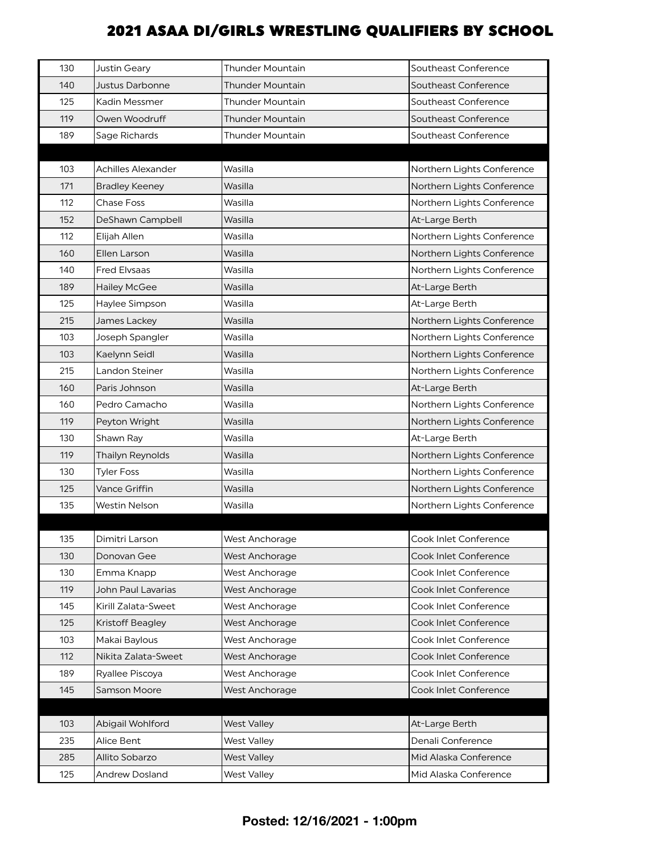| 130 | Justin Geary              | <b>Thunder Mountain</b> | Southeast Conference       |
|-----|---------------------------|-------------------------|----------------------------|
| 140 | Justus Darbonne           | <b>Thunder Mountain</b> | Southeast Conference       |
| 125 | Kadin Messmer             | Thunder Mountain        | Southeast Conference       |
| 119 | Owen Woodruff             | <b>Thunder Mountain</b> | Southeast Conference       |
| 189 | Sage Richards             | <b>Thunder Mountain</b> | Southeast Conference       |
|     |                           |                         |                            |
| 103 | <b>Achilles Alexander</b> | Wasilla                 | Northern Lights Conference |
| 171 | <b>Bradley Keeney</b>     | Wasilla                 | Northern Lights Conference |
| 112 | <b>Chase Foss</b>         | Wasilla                 | Northern Lights Conference |
| 152 | DeShawn Campbell          | Wasilla                 | At-Large Berth             |
| 112 | Elijah Allen              | Wasilla                 | Northern Lights Conference |
| 160 | Ellen Larson              | Wasilla                 | Northern Lights Conference |
| 140 | <b>Fred Elvsaas</b>       | Wasilla                 | Northern Lights Conference |
| 189 | <b>Hailey McGee</b>       | Wasilla                 | At-Large Berth             |
| 125 | Haylee Simpson            | Wasilla                 | At-Large Berth             |
| 215 | James Lackey              | Wasilla                 | Northern Lights Conference |
| 103 | Joseph Spangler           | Wasilla                 | Northern Lights Conference |
| 103 | Kaelynn Seidl             | Wasilla                 | Northern Lights Conference |
| 215 | Landon Steiner            | Wasilla                 | Northern Lights Conference |
| 160 | Paris Johnson             | Wasilla                 | At-Large Berth             |
| 160 | Pedro Camacho             | Wasilla                 | Northern Lights Conference |
| 119 | Peyton Wright             | Wasilla                 | Northern Lights Conference |
| 130 | Shawn Ray                 | Wasilla                 | At-Large Berth             |
| 119 | Thailyn Reynolds          | Wasilla                 | Northern Lights Conference |
| 130 | <b>Tyler Foss</b>         | Wasilla                 | Northern Lights Conference |
| 125 | <b>Vance Griffin</b>      | Wasilla                 | Northern Lights Conference |
| 135 | Westin Nelson             | Wasilla                 | Northern Lights Conference |
|     |                           |                         |                            |
| 135 | Dimitri Larson            | West Anchorage          | Cook Inlet Conference      |
| 130 | Donovan Gee               | <b>West Anchorage</b>   | Cook Inlet Conference      |
| 130 | Emma Knapp                | West Anchorage          | Cook Inlet Conference      |
| 119 | John Paul Lavarias        | <b>West Anchorage</b>   | Cook Inlet Conference      |
| 145 | Kirill Zalata-Sweet       | West Anchorage          | Cook Inlet Conference      |
| 125 | Kristoff Beagley          | <b>West Anchorage</b>   | Cook Inlet Conference      |
| 103 | Makai Baylous             | West Anchorage          | Cook Inlet Conference      |
| 112 | Nikita Zalata-Sweet       | <b>West Anchorage</b>   | Cook Inlet Conference      |
| 189 | Ryallee Piscoya           | West Anchorage          | Cook Inlet Conference      |
| 145 | Samson Moore              | <b>West Anchorage</b>   | Cook Inlet Conference      |
|     |                           |                         |                            |
| 103 | Abigail Wohlford          | <b>West Valley</b>      | At-Large Berth             |
| 235 | Alice Bent                | <b>West Valley</b>      | Denali Conference          |
| 285 | Allito Sobarzo            | <b>West Valley</b>      | Mid Alaska Conference      |
| 125 | <b>Andrew Dosland</b>     | <b>West Valley</b>      | Mid Alaska Conference      |